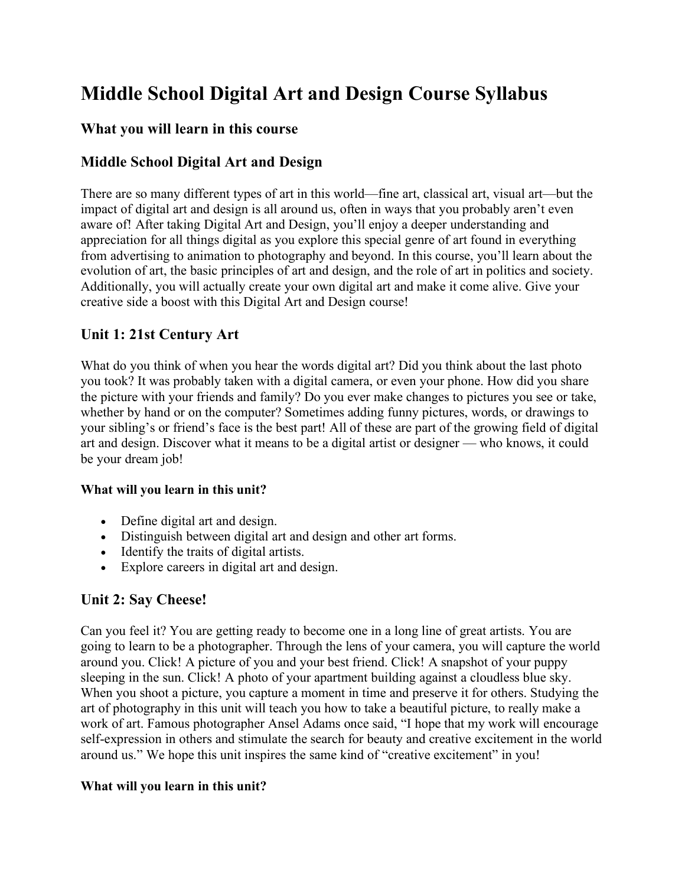# **Middle School Digital Art and Design Course Syllabus**

## **What you will learn in this course**

# **Middle School Digital Art and Design**

There are so many different types of art in this world—fine art, classical art, visual art—but the impact of digital art and design is all around us, often in ways that you probably aren't even aware of! After taking Digital Art and Design, you'll enjoy a deeper understanding and appreciation for all things digital as you explore this special genre of art found in everything from advertising to animation to photography and beyond. In this course, you'll learn about the evolution of art, the basic principles of art and design, and the role of art in politics and society. Additionally, you will actually create your own digital art and make it come alive. Give your creative side a boost with this Digital Art and Design course!

## **Unit 1: 21st Century Art**

What do you think of when you hear the words digital art? Did you think about the last photo you took? It was probably taken with a digital camera, or even your phone. How did you share the picture with your friends and family? Do you ever make changes to pictures you see or take, whether by hand or on the computer? Sometimes adding funny pictures, words, or drawings to your sibling's or friend's face is the best part! All of these are part of the growing field of digital art and design. Discover what it means to be a digital artist or designer — who knows, it could be your dream job!

#### **What will you learn in this unit?**

- Define digital art and design.
- Distinguish between digital art and design and other art forms.
- Identify the traits of digital artists.
- Explore careers in digital art and design.

## **Unit 2: Say Cheese!**

Can you feel it? You are getting ready to become one in a long line of great artists. You are going to learn to be a photographer. Through the lens of your camera, you will capture the world around you. Click! A picture of you and your best friend. Click! A snapshot of your puppy sleeping in the sun. Click! A photo of your apartment building against a cloudless blue sky. When you shoot a picture, you capture a moment in time and preserve it for others. Studying the art of photography in this unit will teach you how to take a beautiful picture, to really make a work of art. Famous photographer Ansel Adams once said, "I hope that my work will encourage self-expression in others and stimulate the search for beauty and creative excitement in the world around us." We hope this unit inspires the same kind of "creative excitement" in you!

#### **What will you learn in this unit?**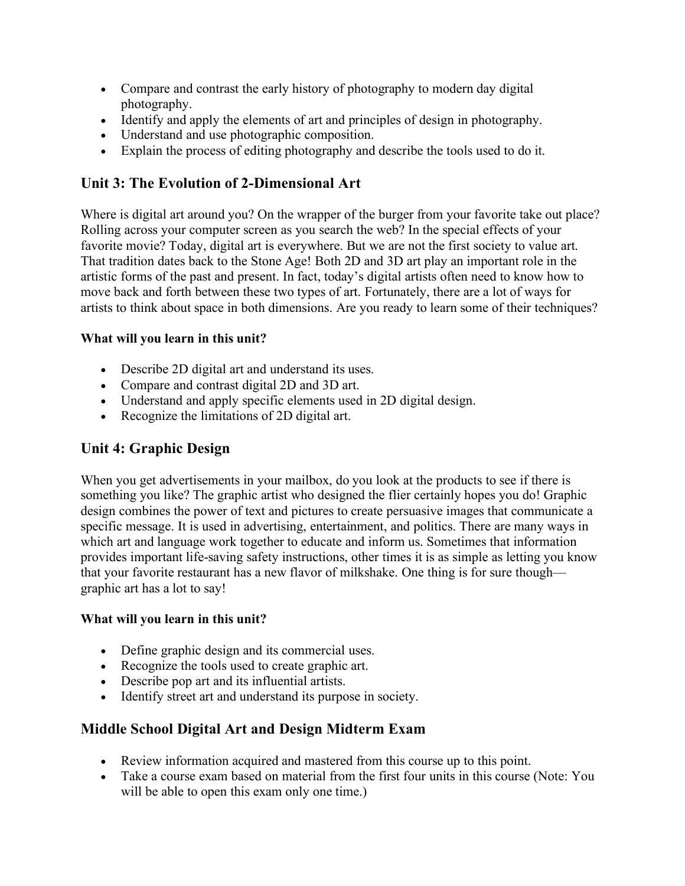- Compare and contrast the early history of photography to modern day digital photography.
- Identify and apply the elements of art and principles of design in photography.
- Understand and use photographic composition.
- Explain the process of editing photography and describe the tools used to do it.

# **Unit 3: The Evolution of 2-Dimensional Art**

Where is digital art around you? On the wrapper of the burger from your favorite take out place? Rolling across your computer screen as you search the web? In the special effects of your favorite movie? Today, digital art is everywhere. But we are not the first society to value art. That tradition dates back to the Stone Age! Both 2D and 3D art play an important role in the artistic forms of the past and present. In fact, today's digital artists often need to know how to move back and forth between these two types of art. Fortunately, there are a lot of ways for artists to think about space in both dimensions. Are you ready to learn some of their techniques?

## **What will you learn in this unit?**

- Describe 2D digital art and understand its uses.
- Compare and contrast digital 2D and 3D art.
- Understand and apply specific elements used in 2D digital design.
- Recognize the limitations of 2D digital art.

# **Unit 4: Graphic Design**

When you get advertisements in your mailbox, do you look at the products to see if there is something you like? The graphic artist who designed the flier certainly hopes you do! Graphic design combines the power of text and pictures to create persuasive images that communicate a specific message. It is used in advertising, entertainment, and politics. There are many ways in which art and language work together to educate and inform us. Sometimes that information provides important life-saving safety instructions, other times it is as simple as letting you know that your favorite restaurant has a new flavor of milkshake. One thing is for sure though graphic art has a lot to say!

#### **What will you learn in this unit?**

- Define graphic design and its commercial uses.
- Recognize the tools used to create graphic art.
- Describe pop art and its influential artists.
- Identify street art and understand its purpose in society.

# **Middle School Digital Art and Design Midterm Exam**

- Review information acquired and mastered from this course up to this point.
- Take a course exam based on material from the first four units in this course (Note: You will be able to open this exam only one time.)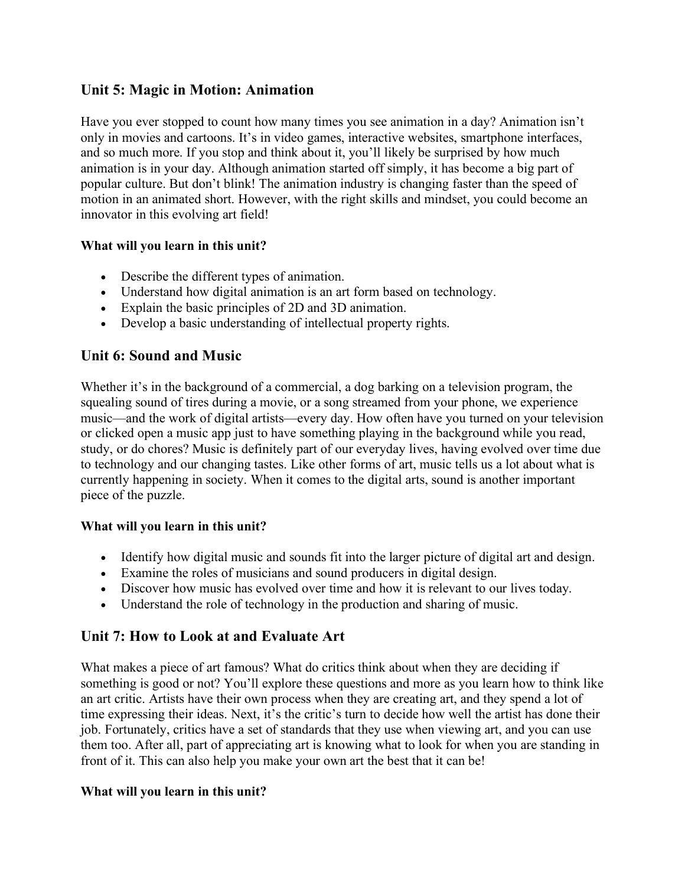## **Unit 5: Magic in Motion: Animation**

Have you ever stopped to count how many times you see animation in a day? Animation isn't only in movies and cartoons. It's in video games, interactive websites, smartphone interfaces, and so much more. If you stop and think about it, you'll likely be surprised by how much animation is in your day. Although animation started off simply, it has become a big part of popular culture. But don't blink! The animation industry is changing faster than the speed of motion in an animated short. However, with the right skills and mindset, you could become an innovator in this evolving art field!

### **What will you learn in this unit?**

- Describe the different types of animation.
- Understand how digital animation is an art form based on technology.
- Explain the basic principles of 2D and 3D animation.
- Develop a basic understanding of intellectual property rights.

## **Unit 6: Sound and Music**

Whether it's in the background of a commercial, a dog barking on a television program, the squealing sound of tires during a movie, or a song streamed from your phone, we experience music—and the work of digital artists—every day. How often have you turned on your television or clicked open a music app just to have something playing in the background while you read, study, or do chores? Music is definitely part of our everyday lives, having evolved over time due to technology and our changing tastes. Like other forms of art, music tells us a lot about what is currently happening in society. When it comes to the digital arts, sound is another important piece of the puzzle.

#### **What will you learn in this unit?**

- Identify how digital music and sounds fit into the larger picture of digital art and design.
- Examine the roles of musicians and sound producers in digital design.
- Discover how music has evolved over time and how it is relevant to our lives today.
- Understand the role of technology in the production and sharing of music.

## **Unit 7: How to Look at and Evaluate Art**

What makes a piece of art famous? What do critics think about when they are deciding if something is good or not? You'll explore these questions and more as you learn how to think like an art critic. Artists have their own process when they are creating art, and they spend a lot of time expressing their ideas. Next, it's the critic's turn to decide how well the artist has done their job. Fortunately, critics have a set of standards that they use when viewing art, and you can use them too. After all, part of appreciating art is knowing what to look for when you are standing in front of it. This can also help you make your own art the best that it can be!

#### **What will you learn in this unit?**